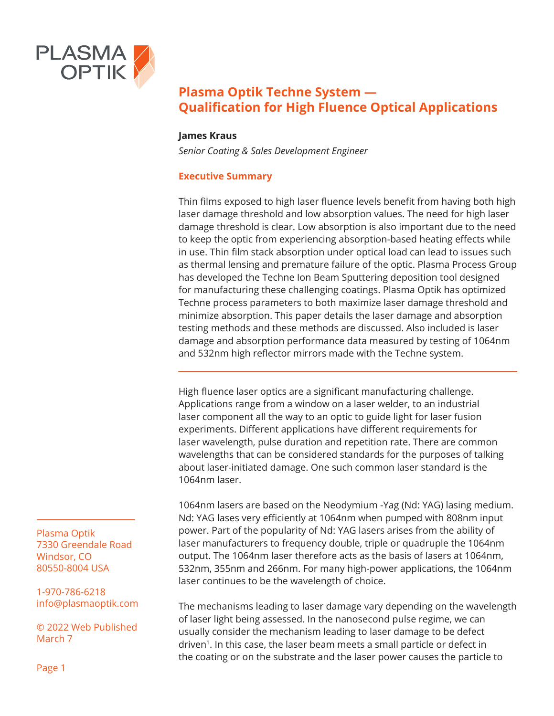

#### **James Kraus**

*Senior Coating & Sales Development Engineer*

#### **Executive Summary**

Thin films exposed to high laser fluence levels benefit from having both high laser damage threshold and low absorption values. The need for high laser damage threshold is clear. Low absorption is also important due to the need to keep the optic from experiencing absorption-based heating effects while in use. Thin film stack absorption under optical load can lead to issues such as thermal lensing and premature failure of the optic. Plasma Process Group has developed the Techne Ion Beam Sputtering deposition tool designed for manufacturing these challenging coatings. Plasma Optik has optimized Techne process parameters to both maximize laser damage threshold and minimize absorption. This paper details the laser damage and absorption testing methods and these methods are discussed. Also included is laser damage and absorption performance data measured by testing of 1064nm and 532nm high reflector mirrors made with the Techne system.

High fluence laser optics are a significant manufacturing challenge. Applications range from a window on a laser welder, to an industrial laser component all the way to an optic to guide light for laser fusion experiments. Different applications have different requirements for laser wavelength, pulse duration and repetition rate. There are common wavelengths that can be considered standards for the purposes of talking about laser-initiated damage. One such common laser standard is the 1064nm laser.

1064nm lasers are based on the Neodymium -Yag (Nd: YAG) lasing medium. Nd: YAG lases very efficiently at 1064nm when pumped with 808nm input power. Part of the popularity of Nd: YAG lasers arises from the ability of laser manufacturers to frequency double, triple or quadruple the 1064nm output. The 1064nm laser therefore acts as the basis of lasers at 1064nm, 532nm, 355nm and 266nm. For many high-power applications, the 1064nm laser continues to be the wavelength of choice.

The mechanisms leading to laser damage vary depending on the wavelength of laser light being assessed. In the nanosecond pulse regime, we can usually consider the mechanism leading to laser damage to be defect driven<sup>1</sup>. In this case, the laser beam meets a small particle or defect in the coating or on the substrate and the laser power causes the particle to

Plasma Optik 7330 Greendale Road Windsor, CO 80550-8004 USA

1-970-786-6218 info@plasmaoptik.com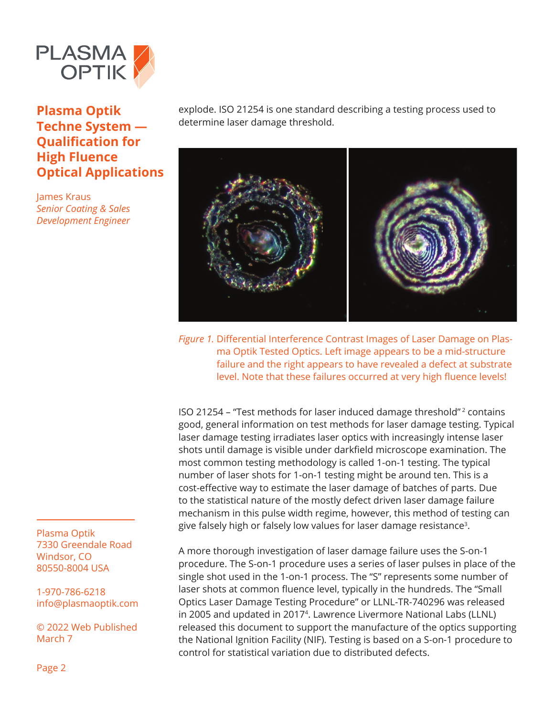

James Kraus *Senior Coating & Sales Development Engineer* explode. ISO 21254 is one standard describing a testing process used to determine laser damage threshold.



*Figure 1.* Differential Interference Contrast Images of Laser Damage on Plasma Optik Tested Optics. Left image appears to be a mid-structure failure and the right appears to have revealed a defect at substrate level. Note that these failures occurred at very high fluence levels!

ISO 21254 – "Test methods for laser induced damage threshold" 2 contains good, general information on test methods for laser damage testing. Typical laser damage testing irradiates laser optics with increasingly intense laser shots until damage is visible under darkfield microscope examination. The most common testing methodology is called 1-on-1 testing. The typical number of laser shots for 1-on-1 testing might be around ten. This is a cost-effective way to estimate the laser damage of batches of parts. Due to the statistical nature of the mostly defect driven laser damage failure mechanism in this pulse width regime, however, this method of testing can give falsely high or falsely low values for laser damage resistance<sup>3</sup>.

A more thorough investigation of laser damage failure uses the S-on-1 procedure. The S-on-1 procedure uses a series of laser pulses in place of the single shot used in the 1-on-1 process. The "S" represents some number of laser shots at common fluence level, typically in the hundreds. The "Small Optics Laser Damage Testing Procedure" or LLNL-TR-740296 was released in 2005 and updated in 20174. Lawrence Livermore National Labs (LLNL) released this document to support the manufacture of the optics supporting the National Ignition Facility (NIF). Testing is based on a S-on-1 procedure to control for statistical variation due to distributed defects.

Plasma Optik 7330 Greendale Road Windsor, CO 80550-8004 USA

1-970-786-6218 info@plasmaoptik.com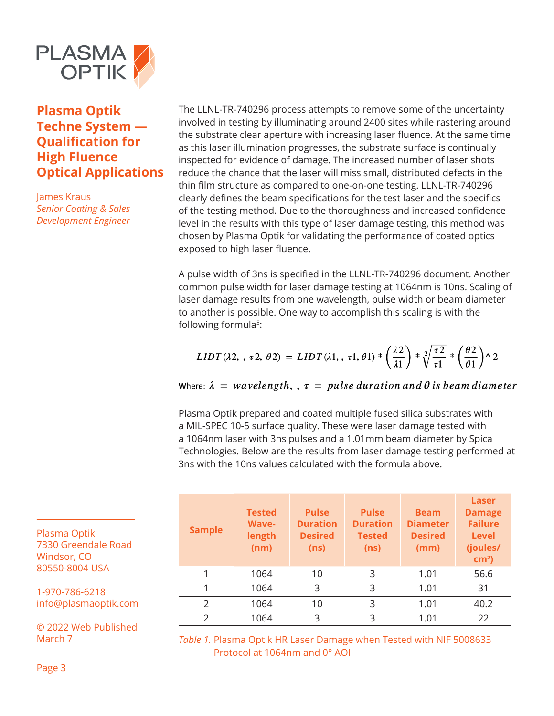

James Kraus *Senior Coating & Sales Development Engineer* The LLNL-TR-740296 process attempts to remove some of the uncertainty involved in testing by illuminating around 2400 sites while rastering around the substrate clear aperture with increasing laser fluence. At the same time as this laser illumination progresses, the substrate surface is continually inspected for evidence of damage. The increased number of laser shots reduce the chance that the laser will miss small, distributed defects in the thin film structure as compared to one-on-one testing. LLNL-TR-740296 clearly defines the beam specifications for the test laser and the specifics of the testing method. Due to the thoroughness and increased confidence level in the results with this type of laser damage testing, this method was chosen by Plasma Optik for validating the performance of coated optics exposed to high laser fluence.

A pulse width of 3ns is specified in the LLNL-TR-740296 document. Another common pulse width for laser damage testing at 1064nm is 10ns. Scaling of laser damage results from one wavelength, pulse width or beam diameter to another is possible. One way to accomplish this scaling is with the following formula<sup>5</sup>:

$$
LIDT(\lambda 2, \tau 2, \theta 2) = LIDT(\lambda 1, \tau 1, \theta 1) * \left(\frac{\lambda 2}{\lambda 1}\right) * \sqrt[2]{\frac{\tau 2}{\tau 1}} * \left(\frac{\theta 2}{\theta 1}\right) \wedge 2
$$

Where:  $\lambda = wavelength, \, \rho, \tau = pulse duration and \theta is beam diameter$ 

Plasma Optik prepared and coated multiple fused silica substrates with a MIL-SPEC 10-5 surface quality. These were laser damage tested with a 1064nm laser with 3ns pulses and a 1.01mm beam diameter by Spica Technologies. Below are the results from laser damage testing performed at 3ns with the 10ns values calculated with the formula above.

| <b>Sample</b> | <b>Tested</b><br><b>Wave-</b><br>length<br>(nm) | <b>Pulse</b><br><b>Duration</b><br><b>Desired</b><br>(ns) | <b>Pulse</b><br><b>Duration</b><br><b>Tested</b><br>(ns) | <b>Beam</b><br><b>Diameter</b><br><b>Desired</b><br>(mm) | Laser<br><b>Damage</b><br><b>Failure</b><br><b>Level</b><br>(joules/<br>$cm2$ ) |
|---------------|-------------------------------------------------|-----------------------------------------------------------|----------------------------------------------------------|----------------------------------------------------------|---------------------------------------------------------------------------------|
| 1             | 1064                                            | 10                                                        | 3                                                        | 1.01                                                     | 56.6                                                                            |
| 1             | 1064                                            | 3                                                         | 3                                                        | 1.01                                                     | 31                                                                              |
| $\mathcal{P}$ | 1064                                            | 10                                                        | 3                                                        | 1.01                                                     | 40.2                                                                            |
| $\mathcal{P}$ | 1064                                            | 3                                                         | 3                                                        | 1.01                                                     | 22                                                                              |

*Table 1.* Plasma Optik HR Laser Damage when Tested with NIF 5008633 Protocol at 1064nm and 0° AOI

Plasma Optik 7330 Greendale Road Windsor, CO 80550-8004 USA

1-970-786-6218 info@plasmaoptik.com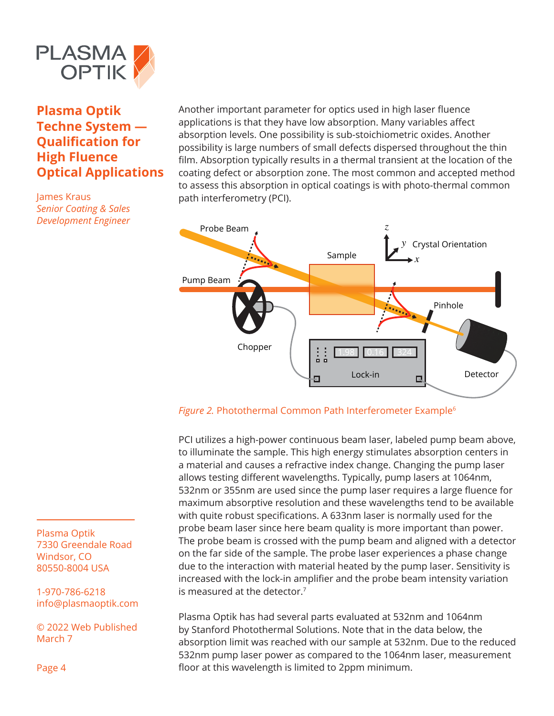

James Kraus *Senior Coating & Sales Development Engineer* Another important parameter for optics used in high laser fluence applications is that they have low absorption. Many variables affect absorption levels. One possibility is sub-stoichiometric oxides. Another possibility is large numbers of small defects dispersed throughout the thin film. Absorption typically results in a thermal transient at the location of the coating defect or absorption zone. The most common and accepted method to assess this absorption in optical coatings is with photo-thermal common path interferometry (PCI).



#### Figure 2. Photothermal Common Path Interferometer Example<sup>6</sup>

PCI utilizes a high-power continuous beam laser, labeled pump beam above, to illuminate the sample. This high energy stimulates absorption centers in a material and causes a refractive index change. Changing the pump laser allows testing different wavelengths. Typically, pump lasers at 1064nm, 532nm or 355nm are used since the pump laser requires a large fluence for maximum absorptive resolution and these wavelengths tend to be available with quite robust specifications. A 633nm laser is normally used for the probe beam laser since here beam quality is more important than power. The probe beam is crossed with the pump beam and aligned with a detector on the far side of the sample. The probe laser experiences a phase change due to the interaction with material heated by the pump laser. Sensitivity is increased with the lock-in amplifier and the probe beam intensity variation is measured at the detector.7

Plasma Optik has had several parts evaluated at 532nm and 1064nm by Stanford Photothermal Solutions. Note that in the data below, the absorption limit was reached with our sample at 532nm. Due to the reduced 532nm pump laser power as compared to the 1064nm laser, measurement floor at this wavelength is limited to 2ppm minimum.

Plasma Optik 7330 Greendale Road Windsor, CO 80550-8004 USA

1-970-786-6218 info@plasmaoptik.com

© 2022 Web Published March 7

Page 4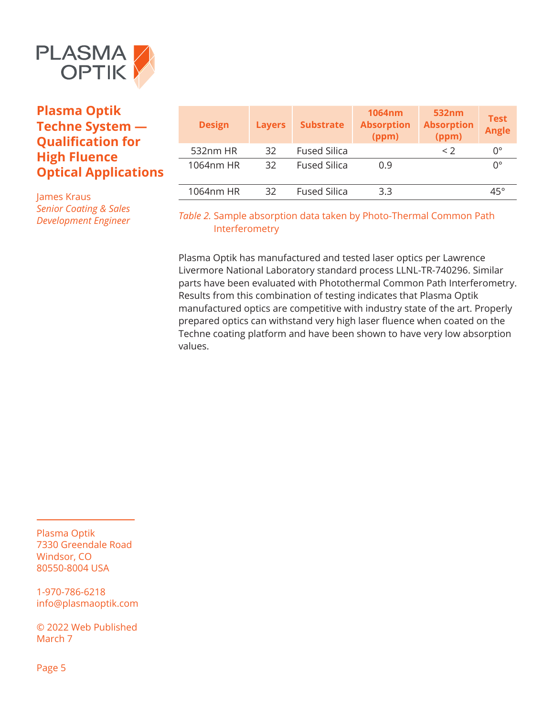

James Kraus *Senior Coating & Sales Development Engineer*

| <b>Design</b> | <b>Layers</b> | <b>Substrate</b>    | <b>1064nm</b><br><b>Absorption</b><br>(ppm) | 532nm<br><b>Absorption</b><br>(ppm) | <b>Test</b><br><b>Angle</b> |
|---------------|---------------|---------------------|---------------------------------------------|-------------------------------------|-----------------------------|
| 532nm HR      | 32            | <b>Fused Silica</b> |                                             | $\langle$ 2                         | 0°                          |
| 1064nm HR     | 32            | <b>Fused Silica</b> | 0.9                                         |                                     | $0^{\circ}$                 |
| 1064nm HR     | 32            | <b>Fused Silica</b> | 3.3                                         |                                     | $45^{\circ}$                |

### *Table 2.* Sample absorption data taken by Photo-Thermal Common Path Interferometry

Plasma Optik has manufactured and tested laser optics per Lawrence Livermore National Laboratory standard process LLNL-TR-740296. Similar parts have been evaluated with Photothermal Common Path Interferometry. Results from this combination of testing indicates that Plasma Optik manufactured optics are competitive with industry state of the art. Properly prepared optics can withstand very high laser fluence when coated on the Techne coating platform and have been shown to have very low absorption values.

Plasma Optik 7330 Greendale Road Windsor, CO 80550-8004 USA

1-970-786-6218 info@plasmaoptik.com